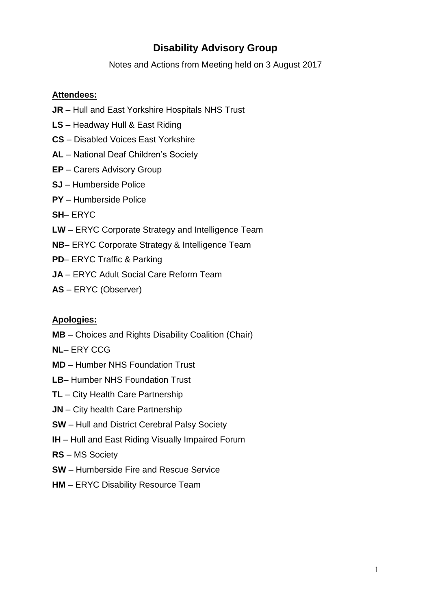## **Disability Advisory Group**

Notes and Actions from Meeting held on 3 August 2017

### **Attendees:**

- **JR** Hull and East Yorkshire Hospitals NHS Trust
- **LS** Headway Hull & East Riding
- **CS** Disabled Voices East Yorkshire
- **AL** National Deaf Children's Society
- **EP** Carers Advisory Group
- **SJ** Humberside Police
- **PY** Humberside Police
- **SH** ERYC
- **LW** ERYC Corporate Strategy and Intelligence Team
- **NB** ERYC Corporate Strategy & Intelligence Team
- **PD** ERYC Traffic & Parking
- **JA** ERYC Adult Social Care Reform Team
- **AS** ERYC (Observer)

#### **Apologies:**

- **MB** Choices and Rights Disability Coalition (Chair)
- **NL** ERY CCG
- **MD** Humber NHS Foundation Trust
- **LB** Humber NHS Foundation Trust
- **TL** City Health Care Partnership
- **JN** City health Care Partnership
- **SW** Hull and District Cerebral Palsy Society
- **IH** Hull and East Riding Visually Impaired Forum
- **RS** MS Society
- **SW** Humberside Fire and Rescue Service
- **HM** ERYC Disability Resource Team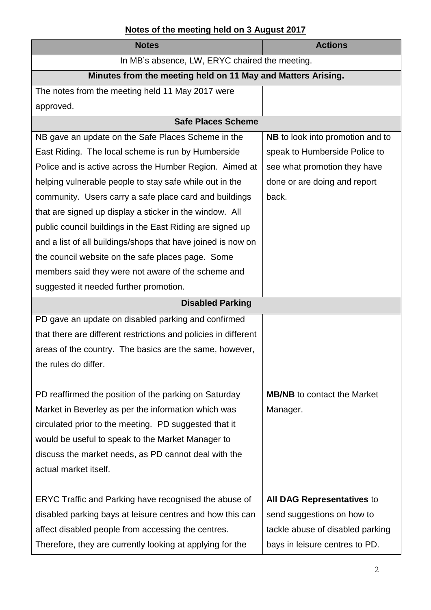# **Notes of the meeting held on 3 August 2017**

| <b>Notes</b>                                                    | <b>Actions</b>                          |  |
|-----------------------------------------------------------------|-----------------------------------------|--|
| In MB's absence, LW, ERYC chaired the meeting.                  |                                         |  |
| Minutes from the meeting held on 11 May and Matters Arising.    |                                         |  |
| The notes from the meeting held 11 May 2017 were                |                                         |  |
| approved.                                                       |                                         |  |
| <b>Safe Places Scheme</b>                                       |                                         |  |
| NB gave an update on the Safe Places Scheme in the              | <b>NB</b> to look into promotion and to |  |
| East Riding. The local scheme is run by Humberside              | speak to Humberside Police to           |  |
| Police and is active across the Humber Region. Aimed at         | see what promotion they have            |  |
| helping vulnerable people to stay safe while out in the         | done or are doing and report            |  |
| community. Users carry a safe place card and buildings          | back.                                   |  |
| that are signed up display a sticker in the window. All         |                                         |  |
| public council buildings in the East Riding are signed up       |                                         |  |
| and a list of all buildings/shops that have joined is now on    |                                         |  |
| the council website on the safe places page. Some               |                                         |  |
| members said they were not aware of the scheme and              |                                         |  |
| suggested it needed further promotion.                          |                                         |  |
| <b>Disabled Parking</b>                                         |                                         |  |
| PD gave an update on disabled parking and confirmed             |                                         |  |
| that there are different restrictions and policies in different |                                         |  |
| areas of the country. The basics are the same, however,         |                                         |  |
| the rules do differ.                                            |                                         |  |
|                                                                 |                                         |  |
| PD reaffirmed the position of the parking on Saturday           | <b>MB/NB</b> to contact the Market      |  |
| Market in Beverley as per the information which was             | Manager.                                |  |
| circulated prior to the meeting. PD suggested that it           |                                         |  |
| would be useful to speak to the Market Manager to               |                                         |  |
| discuss the market needs, as PD cannot deal with the            |                                         |  |
| actual market itself.                                           |                                         |  |
|                                                                 |                                         |  |
| ERYC Traffic and Parking have recognised the abuse of           | All DAG Representatives to              |  |
| disabled parking bays at leisure centres and how this can       | send suggestions on how to              |  |
| affect disabled people from accessing the centres.              | tackle abuse of disabled parking        |  |
| Therefore, they are currently looking at applying for the       | bays in leisure centres to PD.          |  |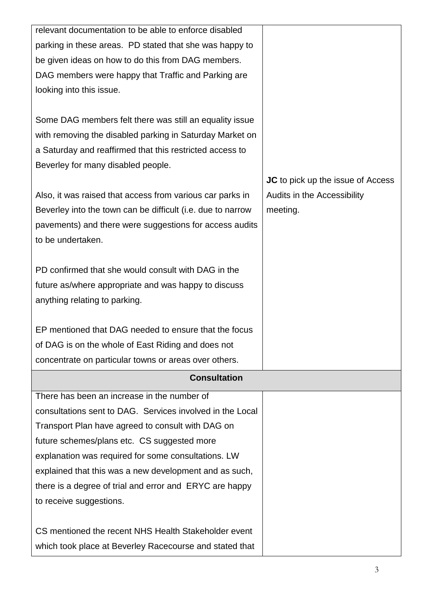| relevant documentation to be able to enforce disabled       |                                          |
|-------------------------------------------------------------|------------------------------------------|
| parking in these areas. PD stated that she was happy to     |                                          |
| be given ideas on how to do this from DAG members.          |                                          |
| DAG members were happy that Traffic and Parking are         |                                          |
| looking into this issue.                                    |                                          |
|                                                             |                                          |
| Some DAG members felt there was still an equality issue     |                                          |
| with removing the disabled parking in Saturday Market on    |                                          |
| a Saturday and reaffirmed that this restricted access to    |                                          |
| Beverley for many disabled people.                          |                                          |
|                                                             | <b>JC</b> to pick up the issue of Access |
| Also, it was raised that access from various car parks in   | Audits in the Accessibility              |
| Beverley into the town can be difficult (i.e. due to narrow | meeting.                                 |
| pavements) and there were suggestions for access audits     |                                          |
| to be undertaken.                                           |                                          |
|                                                             |                                          |
| PD confirmed that she would consult with DAG in the         |                                          |
| future as/where appropriate and was happy to discuss        |                                          |
| anything relating to parking.                               |                                          |
|                                                             |                                          |
| EP mentioned that DAG needed to ensure that the focus       |                                          |
| of DAG is on the whole of East Riding and does not          |                                          |
| concentrate on particular towns or areas over others.       |                                          |
| <b>Consultation</b>                                         |                                          |
| There has been an increase in the number of                 |                                          |
| consultations sent to DAG. Services involved in the Local   |                                          |
| Transport Plan have agreed to consult with DAG on           |                                          |
| future schemes/plans etc. CS suggested more                 |                                          |
| explanation was required for some consultations. LW         |                                          |
| explained that this was a new development and as such,      |                                          |
| there is a degree of trial and error and ERYC are happy     |                                          |
| to receive suggestions.                                     |                                          |
|                                                             |                                          |
| CS mentioned the recent NHS Health Stakeholder event        |                                          |
| which took place at Beverley Racecourse and stated that     |                                          |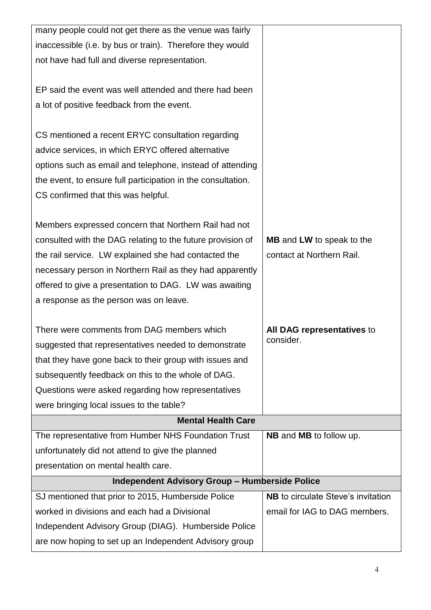| many people could not get there as the venue was fairly      |                                           |  |  |  |
|--------------------------------------------------------------|-------------------------------------------|--|--|--|
| inaccessible (i.e. by bus or train). Therefore they would    |                                           |  |  |  |
| not have had full and diverse representation.                |                                           |  |  |  |
|                                                              |                                           |  |  |  |
| EP said the event was well attended and there had been       |                                           |  |  |  |
| a lot of positive feedback from the event.                   |                                           |  |  |  |
|                                                              |                                           |  |  |  |
| CS mentioned a recent ERYC consultation regarding            |                                           |  |  |  |
| advice services, in which ERYC offered alternative           |                                           |  |  |  |
| options such as email and telephone, instead of attending    |                                           |  |  |  |
| the event, to ensure full participation in the consultation. |                                           |  |  |  |
| CS confirmed that this was helpful.                          |                                           |  |  |  |
|                                                              |                                           |  |  |  |
| Members expressed concern that Northern Rail had not         |                                           |  |  |  |
| consulted with the DAG relating to the future provision of   | <b>MB</b> and <b>LW</b> to speak to the   |  |  |  |
|                                                              |                                           |  |  |  |
| the rail service. LW explained she had contacted the         | contact at Northern Rail.                 |  |  |  |
| necessary person in Northern Rail as they had apparently     |                                           |  |  |  |
| offered to give a presentation to DAG. LW was awaiting       |                                           |  |  |  |
| a response as the person was on leave.                       |                                           |  |  |  |
|                                                              |                                           |  |  |  |
| There were comments from DAG members which                   | All DAG representatives to<br>consider.   |  |  |  |
| suggested that representatives needed to demonstrate         |                                           |  |  |  |
| that they have gone back to their group with issues and      |                                           |  |  |  |
| subsequently feedback on this to the whole of DAG.           |                                           |  |  |  |
| Questions were asked regarding how representatives           |                                           |  |  |  |
| were bringing local issues to the table?                     |                                           |  |  |  |
| <b>Mental Health Care</b>                                    |                                           |  |  |  |
| The representative from Humber NHS Foundation Trust          | <b>NB</b> and <b>MB</b> to follow up.     |  |  |  |
| unfortunately did not attend to give the planned             |                                           |  |  |  |
| presentation on mental health care.                          |                                           |  |  |  |
| <b>Independent Advisory Group - Humberside Police</b>        |                                           |  |  |  |
| SJ mentioned that prior to 2015, Humberside Police           | <b>NB</b> to circulate Steve's invitation |  |  |  |
| worked in divisions and each had a Divisional                | email for IAG to DAG members.             |  |  |  |
| Independent Advisory Group (DIAG). Humberside Police         |                                           |  |  |  |
| are now hoping to set up an Independent Advisory group       |                                           |  |  |  |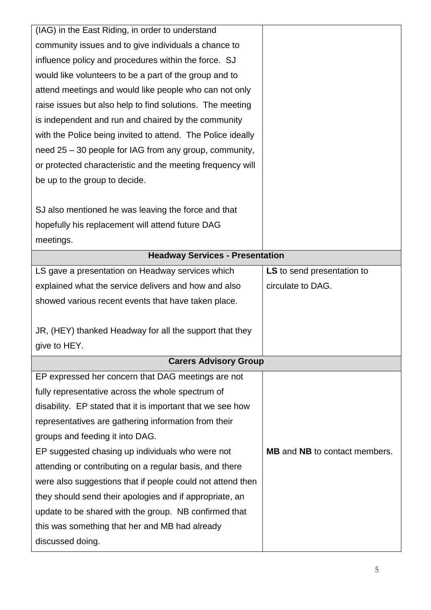| (IAG) in the East Riding, in order to understand            |                                             |
|-------------------------------------------------------------|---------------------------------------------|
| community issues and to give individuals a chance to        |                                             |
| influence policy and procedures within the force. SJ        |                                             |
| would like volunteers to be a part of the group and to      |                                             |
| attend meetings and would like people who can not only      |                                             |
| raise issues but also help to find solutions. The meeting   |                                             |
| is independent and run and chaired by the community         |                                             |
| with the Police being invited to attend. The Police ideally |                                             |
| need 25 – 30 people for IAG from any group, community,      |                                             |
| or protected characteristic and the meeting frequency will  |                                             |
| be up to the group to decide.                               |                                             |
|                                                             |                                             |
| SJ also mentioned he was leaving the force and that         |                                             |
| hopefully his replacement will attend future DAG            |                                             |
| meetings.                                                   |                                             |
| <b>Headway Services - Presentation</b>                      |                                             |
| LS gave a presentation on Headway services which            | LS to send presentation to                  |
| explained what the service delivers and how and also        | circulate to DAG.                           |
| showed various recent events that have taken place.         |                                             |
|                                                             |                                             |
| JR, (HEY) thanked Headway for all the support that they     |                                             |
| give to HEY.                                                |                                             |
| <b>Carers Advisory Group</b>                                |                                             |
| EP expressed her concern that DAG meetings are not          |                                             |
| fully representative across the whole spectrum of           |                                             |
| disability. EP stated that it is important that we see how  |                                             |
| representatives are gathering information from their        |                                             |
| groups and feeding it into DAG.                             |                                             |
| EP suggested chasing up individuals who were not            | <b>MB</b> and <b>NB</b> to contact members. |
| attending or contributing on a regular basis, and there     |                                             |
| were also suggestions that if people could not attend then  |                                             |
| they should send their apologies and if appropriate, an     |                                             |
| update to be shared with the group. NB confirmed that       |                                             |
| this was something that her and MB had already              |                                             |
| discussed doing.                                            |                                             |
|                                                             |                                             |